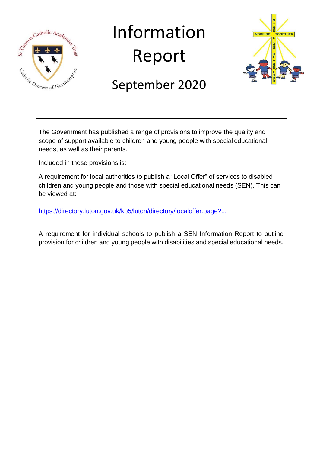

# Information Report



# September 2020

The Government has published a range of provisions to improve the quality and scope of support available to children and young people with special educational needs, as well as their parents.

Included in these provisions is:

A requirement for local authorities to publish a "Local Offer" of services to disabled children and young people and those with special educational needs (SEN). This can be viewed at:

<https://directory.luton.gov.uk/kb5/luton/directory/localoffer.page?...>

A requirement for individual schools to publish a SEN Information Report to outline provision for children and young people with disabilities and special educational needs.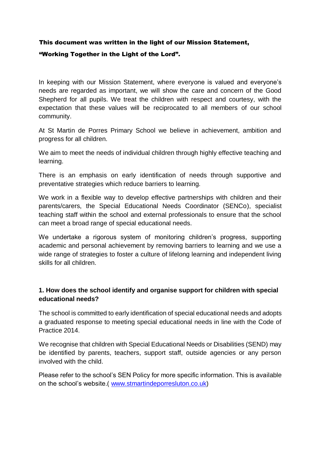# This document was written in the light of our Mission Statement, "Working Together in the Light of the Lord".

In keeping with our Mission Statement, where everyone is valued and everyone's needs are regarded as important, we will show the care and concern of the Good Shepherd for all pupils. We treat the children with respect and courtesy, with the expectation that these values will be reciprocated to all members of our school community.

At St Martin de Porres Primary School we believe in achievement, ambition and progress for all children.

We aim to meet the needs of individual children through highly effective teaching and learning.

There is an emphasis on early identification of needs through supportive and preventative strategies which reduce barriers to learning.

We work in a flexible way to develop effective partnerships with children and their parents/carers, the Special Educational Needs Coordinator (SENCo), specialist teaching staff within the school and external professionals to ensure that the school can meet a broad range of special educational needs.

We undertake a rigorous system of monitoring children's progress, supporting academic and personal achievement by removing barriers to learning and we use a wide range of strategies to foster a culture of lifelong learning and independent living skills for all children.

# **1. How does the school identify and organise support for children with special educational needs?**

The school is committed to early identification of special educational needs and adopts a graduated response to meeting special educational needs in line with the Code of Practice 2014.

We recognise that children with Special Educational Needs or Disabilities (SEND) may be identified by parents, teachers, support staff, outside agencies or any person involved with the child.

Please refer to the school's SEN Policy for more specific information. This is available on the school's website.( [www.stmartindeporresluton.co.uk\)](http://www.stmartindeporresluton.co.uk/)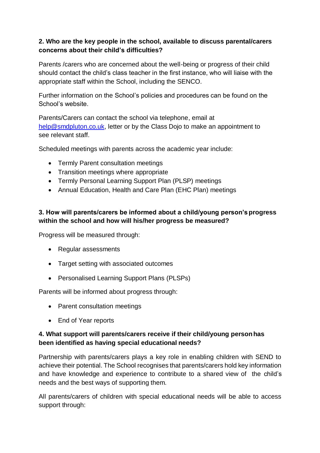# **2. Who are the key people in the school, available to discuss parental/carers concerns about their child's difficulties?**

Parents /carers who are concerned about the well-being or progress of their child should contact the child's class teacher in the first instance, who will liaise with the appropriate staff within the School, including the SENCO.

Further information on the School's policies and procedures can be found on the School's website.

Parents/Carers can contact the school via telephone, email at [help@smdpluton.co.uk,](mailto:help@smdpluton.co.uk) letter or by the Class Dojo to make an appointment to see relevant staff.

Scheduled meetings with parents across the academic year include:

- Termly Parent consultation meetings
- Transition meetings where appropriate
- Termly Personal Learning Support Plan (PLSP) meetings
- Annual Education, Health and Care Plan (EHC Plan) meetings

# **3. How will parents/carers be informed about a child/young person'sprogress within the school and how will his/her progress be measured?**

Progress will be measured through:

- Regular assessments
- Target setting with associated outcomes
- Personalised Learning Support Plans (PLSPs)

Parents will be informed about progress through:

- Parent consultation meetings
- End of Year reports

#### **4. What support will parents/carers receive if their child/young personhas been identified as having special educational needs?**

Partnership with parents/carers plays a key role in enabling children with SEND to achieve their potential. The School recognises that parents/carers hold key information and have knowledge and experience to contribute to a shared view of the child's needs and the best ways of supporting them.

All parents/carers of children with special educational needs will be able to access support through: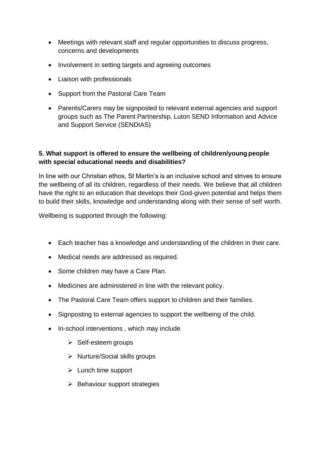- Meetings with relevant staff and regular opportunities to discuss progress, concerns and developments
- Involvement in setting targets and agreeing outcomes
- Liaison with professionals
- Support from the Pastoral Care Team
- Parents/Carers may be signposted to relevant external agencies and support groups such as The Parent Partnership, Luton SEND Information and Advice and Support Service (SENDIAS)

# **5. What support is offered to ensure the wellbeing of children/young people with special educational needs and disabilities?**

In line with our Christian ethos, St Martin's is an inclusive school and strives to ensure the wellbeing of all its children, regardless of their needs. We believe that all children have the right to an education that develops their God-given potential and helps them to build their skills, knowledge and understanding along with their sense of self worth.

Wellbeing is supported through the following:

- Each teacher has a knowledge and understanding of the children in their care.
- Medical needs are addressed as required.
- Some children may have a Care Plan.
- Medicines are administered in line with the relevant policy.
- The Pastoral Care Team offers support to children and their families.
- Signposting to external agencies to support the wellbeing of the child.
- In-school interventions, which may include
	- $\triangleright$  Self-esteem groups
	- $\triangleright$  Nurture/Social skills groups
	- $\triangleright$  Lunch time support
	- $\triangleright$  Behaviour support strategies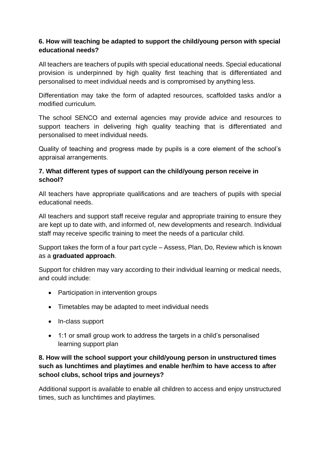# **6. How will teaching be adapted to support the child/young person with special educational needs?**

All teachers are teachers of pupils with special educational needs. Special educational provision is underpinned by high quality first teaching that is differentiated and personalised to meet individual needs and is compromised by anything less.

Differentiation may take the form of adapted resources, scaffolded tasks and/or a modified curriculum.

The school SENCO and external agencies may provide advice and resources to support teachers in delivering high quality teaching that is differentiated and personalised to meet individual needs.

Quality of teaching and progress made by pupils is a core element of the school's appraisal arrangements.

# **7. What different types of support can the child/young person receive in school?**

All teachers have appropriate qualifications and are teachers of pupils with special educational needs.

All teachers and support staff receive regular and appropriate training to ensure they are kept up to date with, and informed of, new developments and research. Individual staff may receive specific training to meet the needs of a particular child.

Support takes the form of a four part cycle – Assess, Plan, Do, Review which is known as a **graduated approach**.

Support for children may vary according to their individual learning or medical needs, and could include:

- Participation in intervention groups
- Timetables may be adapted to meet individual needs
- In-class support
- 1:1 or small group work to address the targets in a child's personalised learning support plan

# **8. How will the school support your child/young person in unstructured times such as lunchtimes and playtimes and enable her/him to have access to after school clubs, school trips and journeys?**

Additional support is available to enable all children to access and enjoy unstructured times, such as lunchtimes and playtimes.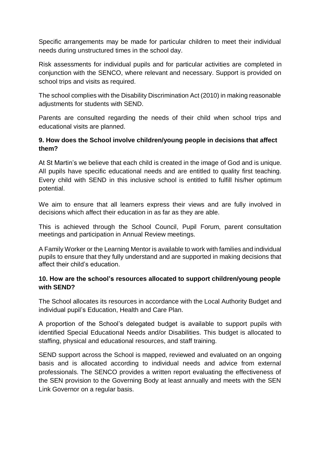Specific arrangements may be made for particular children to meet their individual needs during unstructured times in the school day.

Risk assessments for individual pupils and for particular activities are completed in conjunction with the SENCO, where relevant and necessary. Support is provided on school trips and visits as required.

The school complies with the Disability Discrimination Act (2010) in making reasonable adiustments for students with SEND.

Parents are consulted regarding the needs of their child when school trips and educational visits are planned.

# **9. How does the School involve children/young people in decisions that affect them?**

At St Martin's we believe that each child is created in the image of God and is unique. All pupils have specific educational needs and are entitled to quality first teaching. Every child with SEND in this inclusive school is entitled to fulfill his/her optimum potential.

We aim to ensure that all learners express their views and are fully involved in decisions which affect their education in as far as they are able.

This is achieved through the School Council, Pupil Forum, parent consultation meetings and participation in Annual Review meetings.

A Family Worker or the Learning Mentor is available to work with families and individual pupils to ensure that they fully understand and are supported in making decisions that affect their child's education.

# **10. How are the school's resources allocated to support children/young people with SEND?**

The School allocates its resources in accordance with the Local Authority Budget and individual pupil's Education, Health and Care Plan.

A proportion of the School's delegated budget is available to support pupils with identified Special Educational Needs and/or Disabilities. This budget is allocated to staffing, physical and educational resources, and staff training.

SEND support across the School is mapped, reviewed and evaluated on an ongoing basis and is allocated according to individual needs and advice from external professionals. The SENCO provides a written report evaluating the effectiveness of the SEN provision to the Governing Body at least annually and meets with the SEN Link Governor on a regular basis.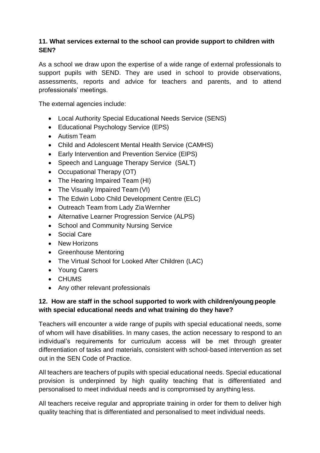#### **11. What services external to the school can provide support to children with SEN?**

As a school we draw upon the expertise of a wide range of external professionals to support pupils with SEND. They are used in school to provide observations, assessments, reports and advice for teachers and parents, and to attend professionals' meetings.

The external agencies include:

- Local Authority Special Educational Needs Service (SENS)
- Educational Psychology Service (EPS)
- Autism Team
- Child and Adolescent Mental Health Service (CAMHS)
- Early Intervention and Prevention Service (EIPS)
- Speech and Language Therapy Service (SALT)
- Occupational Therapy (OT)
- The Hearing Impaired Team (HI)
- The Visually Impaired Team (VI)
- The Edwin Lobo Child Development Centre (ELC)
- Outreach Team from Lady Zia Wernher
- Alternative Learner Progression Service (ALPS)
- School and Community Nursing Service
- Social Care
- New Horizons
- Greenhouse Mentoring
- The Virtual School for Looked After Children (LAC)
- Young Carers
- CHUMS
- Any other relevant professionals

# **12. How are staff in the school supported to work with children/youngpeople with special educational needs and what training do they have?**

Teachers will encounter a wide range of pupils with special educational needs, some of whom will have disabilities. In many cases, the action necessary to respond to an individual's requirements for curriculum access will be met through greater differentiation of tasks and materials, consistent with school-based intervention as set out in the SEN Code of Practice.

All teachers are teachers of pupils with special educational needs. Special educational provision is underpinned by high quality teaching that is differentiated and personalised to meet individual needs and is compromised by anything less.

All teachers receive regular and appropriate training in order for them to deliver high quality teaching that is differentiated and personalised to meet individual needs.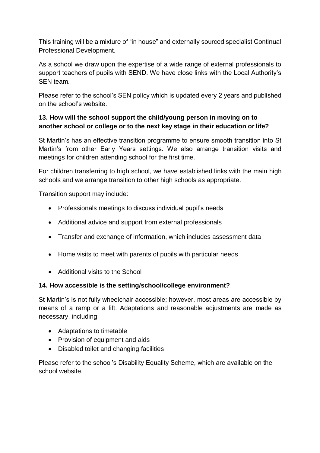This training will be a mixture of "in house" and externally sourced specialist Continual Professional Development.

As a school we draw upon the expertise of a wide range of external professionals to support teachers of pupils with SEND. We have close links with the Local Authority's SEN team.

Please refer to the school's SEN policy which is updated every 2 years and published on the school's website.

# **13. How will the school support the child/young person in moving on to another school or college or to the next key stage in their education orlife?**

St Martin's has an effective transition programme to ensure smooth transition into St Martin's from other Early Years settings. We also arrange transition visits and meetings for children attending school for the first time.

For children transferring to high school, we have established links with the main high schools and we arrange transition to other high schools as appropriate.

Transition support may include:

- Professionals meetings to discuss individual pupil's needs
- Additional advice and support from external professionals
- Transfer and exchange of information, which includes assessment data
- Home visits to meet with parents of pupils with particular needs
- Additional visits to the School

#### **14. How accessible is the setting/school/college environment?**

St Martin's is not fully wheelchair accessible; however, most areas are accessible by means of a ramp or a lift. Adaptations and reasonable adjustments are made as necessary, including:

- Adaptations to timetable
- Provision of equipment and aids
- Disabled toilet and changing facilities

Please refer to the school's Disability Equality Scheme, which are available on the school website.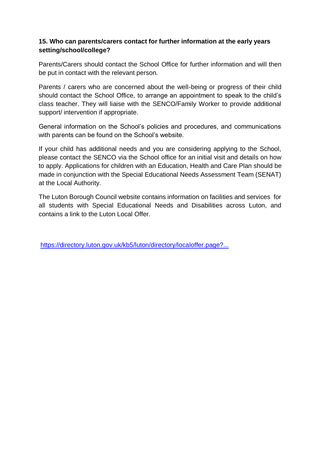#### **15. Who can parents/carers contact for further information at the early years setting/school/college?**

Parents/Carers should contact the School Office for further information and will then be put in contact with the relevant person.

Parents / carers who are concerned about the well-being or progress of their child should contact the School Office, to arrange an appointment to speak to the child's class teacher. They will liaise with the SENCO/Family Worker to provide additional support/ intervention if appropriate.

General information on the School's policies and procedures, and communications with parents can be found on the School's website.

If your child has additional needs and you are considering applying to the School, please contact the SENCO via the School office for an initial visit and details on how to apply. Applications for children with an Education, Health and Care Plan should be made in conjunction with the Special Educational Needs Assessment Team (SENAT) at the Local Authority.

The Luton Borough Council website contains information on facilities and services for all students with Special Educational Needs and Disabilities across Luton, and contains a link to the Luton Local Offer.

<https://directory.luton.gov.uk/kb5/luton/directory/localoffer.page?...>